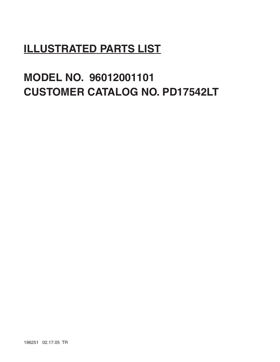# **ILLUSTRATED PARTS LIST**

# **MODEL NO. 96012001101 CUSTOMER CATALOG NO. PD17542LT**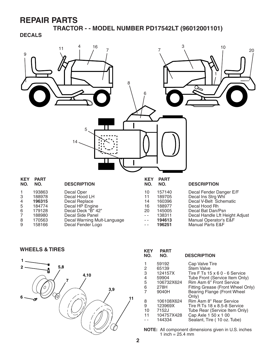**TRACTOR - - MODEL NUMBER PD17542LT (96012001101)**

**DECALS**



WHEELS & TIRES *KEY PART* 



| KEY<br>NO. | PARI<br>NO. | <b>DESCRIPTION</b>                   |
|------------|-------------|--------------------------------------|
|            | 59192       | Cap Valve Tire                       |
| 2          | 65139       | <b>Stem Valve</b>                    |
| 3          | 124157X     | Tire F Ts 15 x 6 0 - 6 Service       |
| 4          | 59904       | Tube Front (Service Item Only)       |
| 5          | 106732X624  | Rim Asm 6" Front Service             |
| 6          | 278H        | Fitting Grease (Front Wheel Only)    |
| 7          | 9040H       | Bearing Flange (Front Wheel<br>Only) |
| 8          | 106108X624  | Rim Asm 8" Rear Service              |
| 9          | 123969X     | Tire R Ts 18 x 8.5-8 Service         |
| 10         | 7152J       | Tube Rear (Service Item Only)        |
| 11         | 104757X428  | Cap Axle 1 50 x 1 00                 |
|            | 144334      | Sealant, Tire (10 oz. Tube)          |
|            |             |                                      |

**NOTE:** All component dimensions given in U.S. inches 1 inch =  $25.4 \, \text{mm}$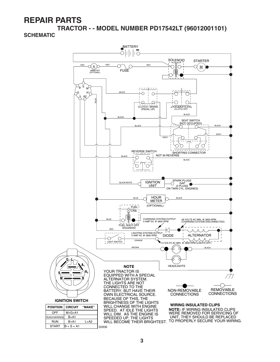**TRACTOR - - MODEL NUMBER PD17542LT (96012001101) SCHEMATIC**

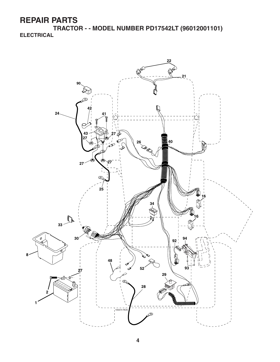**TRACTOR - - MODEL NUMBER PD17542LT (96012001101) ELECTRICAL**

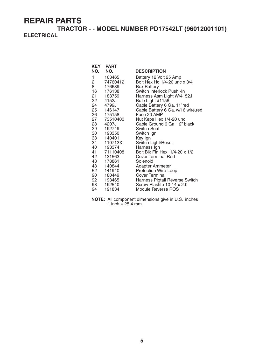#### **TRACTOR - - MODEL NUMBER PD17542LT (96012001101) ELECTRICAL**

| KEY            | <b>PART</b>         |                                                      |
|----------------|---------------------|------------------------------------------------------|
| NO.            | NO.                 | <b>DESCRIPTION</b>                                   |
| 1              | 163465              | Battery 12 Volt 25 Amp                               |
| $\overline{2}$ | 74760412            | Bolt Hex Hd 1/4-20 unc x 3/4                         |
| 8              | 176689              | <b>Box Battery</b>                                   |
| 16             | 176138              | Switch Interlock Push -In                            |
| 21             | 183759              | Harness Asm Light W/4152J                            |
|                | 22 4152J            | Bulb Light #1156                                     |
| 24             | 4799J               | Cable Battery 6 Ga. 11"red                           |
|                | 25 146147           | Cable Battery 6 Ga. w/16 wire, red                   |
|                | 26 175158           | Fuse 20 AMP                                          |
| 27             | 73510400            | Nut Keps Hex 1/4-20 unc                              |
| 28 —           | 4207J               | Cable Ground 6 Ga. 12" black                         |
|                | 29 192749           | Switch Seat                                          |
|                | 30 193350           | Switch Ign                                           |
|                | 33 140401           | Key Ign                                              |
|                | 34 110712X          | Switch Light/Reset                                   |
|                | 40 193374           | Harness Ign                                          |
|                | 41 71110408         | Bolt Blk Fin Hex 1/4-20 x 1/2                        |
| 42             | 131563              | Cover Terminal Red                                   |
| 43             | 178861              | Solenoid                                             |
|                | 48 140844           | Adapter Ammeter                                      |
| 52             | 141940<br>90 180449 | <b>Protection Wire Loop</b><br><b>Cover Terminal</b> |
|                | 92 193465           | Harness Pigtail Reverse Switch                       |
|                | 93 192540           | Screw Plastite 10-14 x 2.0                           |
| 94             | 191834              | Module Reverse ROS                                   |
|                |                     |                                                      |

**NOTE:** All component dimensions give in U.S. inches 1 inch =  $25.4$  mm.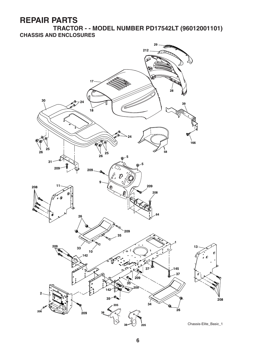**TRACTOR - - MODEL NUMBER PD17542LT (96012001101) CHASSIS AND ENCLOSURES**

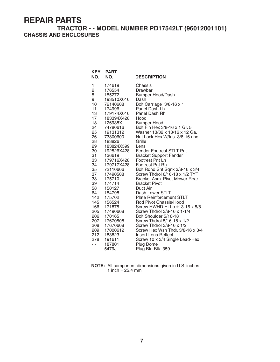#### **TRACTOR - - MODEL NUMBER PD17542LT (96012001101) CHASSIS AND ENCLOSURES**

| <b>KEY</b><br>NO. | <b>PART</b><br>NO.    | <b>DESCRIPTION</b>                                  |
|-------------------|-----------------------|-----------------------------------------------------|
| 1                 | 174619                | Chassis                                             |
| $\overline{c}$    | 176554                | Drawbar                                             |
| 5                 | 155272                | Bumper Hood/Dash                                    |
| 9                 | 193510X010            | Dash                                                |
| 10                | 72140608              | Bolt Carriage 3/8-16 x 1                            |
| 11                | 174996                | Panel Dash Lh                                       |
| 13                | 179174X010            | Panel Dash Rh                                       |
| 17<br>18          | 183394X428<br>126938X | Hood                                                |
| 24                | 74780616              | <b>Bumper Hood</b><br>Bolt Fin Hex 3/8-16 x 1 Gr. 5 |
| 25                | 19131312              | Washer 13/32 x 13/16 x 12 Ga.                       |
| 26                | 73800600              | Nut Lock Hex W/Ins 3/8-16 unc                       |
| 28                | 183826                | Grille                                              |
| 29                | 183824X599            | Lens                                                |
| 30                | 192526X428            | <b>Fender Footrest STLT Pnt</b>                     |
| 31                | 136619                | <b>Bracket Support Fender</b>                       |
| 33                | 179716X428            | Footrest Pnt Lh                                     |
| 34                | 179717X428            | Footrest Pnt Rh                                     |
| 35                | 72110606              | Bolt Rdhd Sht Sqnk 3/8-16 x 3/4                     |
| 37                | 17490508              | Screw Thdrol 6/16-18 x 1/2 TYT                      |
| 38                | 175710                | Bracket Asm. Pivot Mower Rear                       |
| 39                | 174714                | <b>Bracket Pivot</b>                                |
| 58                | 150127                | Duct Air                                            |
| 64                | 154798                | Dash Lower STLT<br><b>Plate Reinforcement STLT</b>  |
| 142<br>145        | 175702<br>156524      | Rod Pivot Chassis/Hood                              |
| 166               | 171875                | Screw HWHD Hi-Lo #13-16 x 5/8                       |
| 205               | 17490608              | Screw Thdrol 3/8-16 x 1-1/4                         |
| 206               | 170165                | Bolt Shoulder 5/16-18                               |
| 207               | 17670508              | Screw Thdrol 5/16-18 x 1/2                          |
| 208               | 17670608              | Screw Thdrol 3/8-16 x 1/2                           |
| 209               | 17000612              | Screw Hex Wsh Thdr. 3/8-16 x 3/4                    |
| 212               | 183823                | Insert Lens Reflect                                 |
| 278               | 191611                | Screw 10 x 3/4 Single Lead-Hex                      |
| $\overline{a}$    | 187801                | <b>Plug Dome</b>                                    |
| $ -$              | 5479J                 | Plug Btn Blk .359                                   |

| <b>NOTE:</b> All component dimensions given in U.S. inches |
|------------------------------------------------------------|
| 1 inch = $25.4 \text{ mm}$                                 |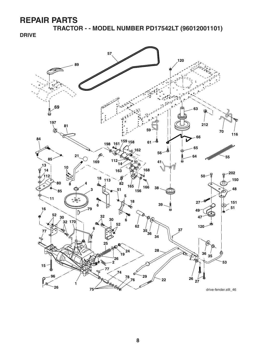**TRACTOR - - MODEL NUMBER PD17542LT (96012001101)**

**DRIVE**

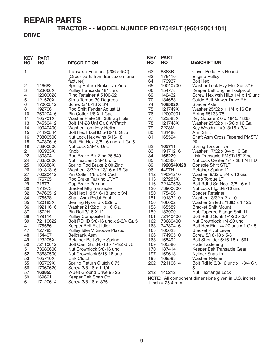#### **TRACTOR - - MODEL NUMBER PD17542LT (96012001101)**

#### **DRIVE**

| <b>KEY</b><br>NO. | <b>PART</b><br>NO.   | <b>DESCRIPTION</b>                                                 | <b>KEY</b><br>NO. | <b>PART</b><br>NO.         | <b>DESCRIPTION</b>                                              |
|-------------------|----------------------|--------------------------------------------------------------------|-------------------|----------------------------|-----------------------------------------------------------------|
| 1                 | .                    | Transaxle Peerless (206-545C)<br>(Order parts from transaxle manu- | 62<br>63          | 8883R<br>175410            | Cover Pedal Blk Round<br>Engine Pulley                          |
|                   |                      | facturer)                                                          | 64                | 173937                     | <b>Bolt Hex</b>                                                 |
| $\overline{c}$    | 146682               | Spring Return Brake T/a Zinc                                       | 65                | 10040700                   | Washer Lock Hvy Hlcl Spr 7/16                                   |
| 3                 | 123666X              | Pulley Transaxle 18" tires                                         | 66                | 154778                     | Keeper Belt Engine Foolproof                                    |
| 4                 | 12000028             | Ring Retainer # 5100-62                                            | 69                | 142432                     | Screw Hex wsh HiLo 1/4 x 1/2 unc                                |
| 5                 | 121520X              | Strap Torque 30 Degrees                                            | 70                | 134683                     | Guide Belt Mower Drive RH                                       |
| 6                 | 17000512             | Screw 5/16-18 X 3/4                                                | 74                | 109502X                    | Spacer Axle                                                     |
| 8                 | 192706               | Rod Shift Fender Adjust Lt                                         | 75                | 121749X                    | Washer 25/32 x 1 1/4 x 16 Ga.                                   |
| 10<br>11          | 76020416<br>105701X  | Pin Cotter 1/8 X 1 Cad<br>Washer Plate Shf 388 Sq Hole             | 76<br>77          | 12000001<br>123583X        | E-ring #5133-75<br>Key Square 2 0 x 1845/1865                   |
| 13                | 74550412             | Bolt 1/4-28 Unf Gr. 8 W/Patch                                      | 78                | 121748X                    | Washer 25/32 x 1-5/8 x 16 Ga.                                   |
| 14                | 10040400             | Washer Lock Hvy Helical                                            | 79                | 2228M                      | Key Woodruff #9 3/16 x 3/4                                      |
| 15                | 74490544             | Bolt Hex FLGHD 5/16-18 Gr. 5                                       | 80                | 131486                     | Arm Shift                                                       |
| 16                | 73800500             | Nut Lock Hex w/ins 5/16-18                                         | 81                | 165594                     | Shaft Asm Cross Tapered PMST/                                   |
| 18                | 74780616             | Bolt, Fin Hex 3/8-16 unc x 1 Gr. 5                                 |                   |                            | 20                                                              |
| 19                | 73800600             | Nut Lock 3/8-16 Unc                                                | 82                | 165711                     | Spring Torsion T/a                                              |
| 21                | 106933X              | Knob                                                               | 83                | 19171216                   | Washer 17/32 x 3/4 x 16 Ga.                                     |
| 22                | 130804               | Rod Brake Blk Zinc 26 840                                          | 84                | 166229                     | Link Transaxle PMST/18" Zinc                                    |
| 24                | 73350600             | Nut Hex Jam 3/8-16 unc                                             | 85                | 150360                     | Nut Lock Center 1/4 - 28 FNTHD                                  |
| 25                | 106888X              | Spring Rod Brake 2 00 Zinc                                         | 89                | 192054X428                 | <b>Console Shift STLT</b>                                       |
| 26<br>27          | 19131316<br>76020412 | Washer 13/32 x 13/16 x 16 Ga.<br>Pin Cotter 1/8 x 3/4 Cad          | 96<br>112         | 4497H<br>19091210          | <b>Retainer Spring 1"</b><br>Washer 9/32 x 3/4 x 10 Ga.         |
| 28                | 175765               | Rod Brake Parking LT/YT                                            | 113               | 127285X                    | Strap Torque LT                                                 |
| 29                | 71673                | Cap Brake Parking                                                  | 116               | 72140608                   | Bolt Rdhd Sq Neck 3/8-16 x 1                                    |
| 30                | 174973               | <b>Bracket Mtg Transaxle</b>                                       | 120               | 73900600                   | Nut Lock Flg. 3/8-16 unc                                        |
| 32                | 74760512             | Bolt Hex Hd 5/16-18 unc x 3/4                                      | 150               | 175456                     | <b>Spacer Retainer</b>                                          |
| 34                | 175578               | <b>Shaft Asm Pedal Foot</b>                                        | 151               | 19133210                   | Washer 13/32 x 2 x 10                                           |
| 35                | 120183X              | Bearing Nylon Blk 629 Id                                           | 156               | 166002                     | Washer Srrted 5/16ID x 1.125                                    |
| 36                | 19211616             | Washer 21/32 x 1 x 16 Ga.                                          | 158               | 165589                     | <b>Bracket Shift Mount</b>                                      |
| 37                | 1572H                | Pin Roll 3/16 X 1"                                                 | 159               | 183900                     | Hub Tapered Flange Shift Lt                                     |
| 38                | 179114               | <b>Pulley Composite Flat</b>                                       | 161               | 72140406                   | Bolt Rdhd Sqnk 1/4-20 x 3/4                                     |
| 39                | 72110622             | Bolt RDHD 3/8-16 unc x 2-3/4 Gr. 5                                 | 162<br>163        | 73680400                   | Nut Crownlock 1/4-20 unc                                        |
| 41<br>47          | 175556<br>127783     | Keeper Belt Flat Idler<br>Pulley Idler V Groove Plastic            | 165               | 74780416<br>165623         | Bolt Hex Fin 1/4-20 unc x 1 Gr. 5<br><b>Bracket Pivot Lever</b> |
| 48                | 154407               | <b>Bellcrank Asm</b>                                               | 166               | 17490510                   | Screw 5/16-18 x 5/8                                             |
| 49                | 123205X              | Retainer Belt Style Spring                                         | 168               | 165492                     | 561. Bolt Shoulder 5/16-18 x                                    |
| 50                | 72110612             | Bolt Carr. Sh. 3/8-16 x 1-1/2 Gr. 5                                | 169               | 165580                     | <b>Plate Fastening</b>                                          |
| 51                | 73680600             | Nut Crownlock 3/8-16 unc                                           | 170               | 187414                     | Keeper Belt Transaxle Gear                                      |
| 52                | 73680500             | Nut Crownlock 5/16-18 unc                                          | 197               | 169613                     | Nyliner Snap-In                                                 |
| 53                | 105710X              | Link Clutch                                                        | 198               | 169593                     | <b>Washer Nyliner</b>                                           |
| 55                | 105709X              | Spring Return Clutch 6 75                                          | 202               | 72110614                   | Bolt RdHd 3/8-16 unc x 1-3/4 Gr.                                |
| 56                | 17060620             | Screw 3/8-16 x 1-1/4                                               |                   |                            |                                                                 |
| 57                | 160855               | V-Belt Ground Drive 95 25                                          | 212               | 145212                     | Nut Hexflange Lock                                              |
| 59                | 169691               | Keeper Belt Span Ctr                                               |                   |                            | NOTE: All component dimensions given in U.S. inches             |
| 61                | 17120614             | Screw 3/8-16 x .875                                                |                   | 1 inch = $25.4 \text{ mm}$ |                                                                 |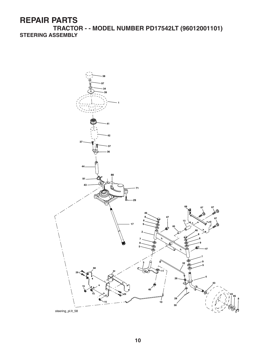**TRACTOR - - MODEL NUMBER PD17542LT (96012001101) STEERING ASSEMBLY**

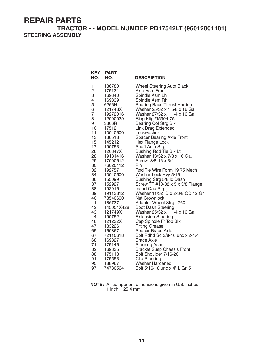#### **TRACTOR - - MODEL NUMBER PD17542LT (96012001101) STEERING ASSEMBLY**

| <b>KEY</b><br>NO. | <b>PART</b><br>NO.   | <b>DESCRIPTION</b>                                                 |
|-------------------|----------------------|--------------------------------------------------------------------|
| 1                 | 186780               | <b>Wheel Steering Auto Black</b>                                   |
| $\overline{c}$    | 175131               | Axle Asm Front                                                     |
| 3                 | 169840               | Spindle Asm Lh                                                     |
| 4<br>5            | 169839               | Spindle Asm Rh                                                     |
| 6                 | 6266H<br>121748X     | <b>Bearing Race Thrust Harden</b><br>Washer 25/32 x 1 5/8 x 16 Ga. |
| 7                 | 19272016             | Washer 27/32 x 1 1/4 x 16 Ga.                                      |
| 8                 | 12000029             | Ring Klip #t5304-75                                                |
| 9                 | 3366R                | <b>Bearing Col Strg Blk</b>                                        |
| 10                | 175121               | Link Drag Extended                                                 |
| 11                | 10040600             | Lockwasher                                                         |
| 13                | 136518               | <b>Spacer Bearing Axle Front</b>                                   |
| 15                | 145212               | Hex Flange Lock                                                    |
| 17                | 190753               | Shaft Asm Strg                                                     |
| 26<br>28          | 126847X              | <b>Bushing Rod Tie Blk Lt</b>                                      |
| 29                | 19131416<br>17000612 | Washer 13/32 x 7/8 x 16 Ga.<br>Screw 3/8-16 x 3/4                  |
| 30                | 76020412             | Pin                                                                |
| 32                | 192757               | Rod Tie Wire Form 19 75 Mech                                       |
| 34                | 10040500             | Washer Lock Hvy 5/16                                               |
| 36                | 155099               | Bushing Strg 5/8 Id Dash                                           |
| 37                | 152927               | Screw TT #10-32 x 5 x 3/8 Flange                                   |
| 38                | 192916               | Insert Cap Strg                                                    |
| 39                | 19113812             | Washer 11/32 ID x 2-3/8 OD 12 Gr.                                  |
| 40<br>41          | 73540600<br>186737   | <b>Nut Crownlock</b><br>Adaptor Wheel Strg .760                    |
| 42                | 145054X428           | <b>Boot Dash Steering</b>                                          |
| 43                | 121749X              | Washer 25/32 x 1 1/4 x 16 Ga.                                      |
| 44                | 190752               | <b>Extension Steering</b>                                          |
| 46                | 121232X              | Cap Spindle Fr Top Blk                                             |
| 47                | 183226               | <b>Fitting Grease</b>                                              |
| 65                | 160367               | Spacer Brace Axle                                                  |
| 67                | 72110618             | Bolt Rdhd Sq 3/8-16 unc x 2-1/4                                    |
| 68                | 169827               | <b>Brace Axle</b>                                                  |
| 71<br>82          | 175146<br>169835     | <b>Steering Asm</b><br><b>Bracket Susp Chassis Front</b>           |
| 88                | 175118               | Bolt Shoulder 7/16-20                                              |
| 91                | 175553               | <b>Clip Steering</b>                                               |
| 95                | 188967               | <b>Washer Hardened</b>                                             |
| 97                | 74780564             | Bolt 5/16-18 unc x 4" L Gr. 5                                      |

**NOTE:** All component dimensions given in U.S. inches 1 inch  $= 25.4$  mm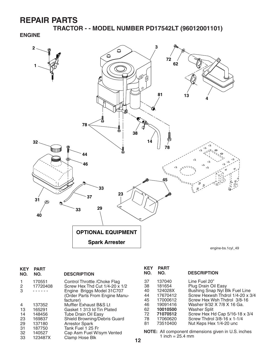**TRACTOR - - MODEL NUMBER PD17542LT (96012001101)**

**ENGINE**



engine-bs.1cyl\_49

| <b>KEY</b><br>NO. | <b>PART</b><br>NO. | <b>DESCRIPTION</b>                                                                                                                           |
|-------------------|--------------------|----------------------------------------------------------------------------------------------------------------------------------------------|
| 1<br>2<br>3       | 170551<br>17720408 | Control Throttle / Choke Flag<br>Screw Hex Thd Cut 1/4-20 x 1/2<br>Engine Briggs Model 31C707<br>(Order Parts From Engine Manu-<br>facturer) |
| 4                 | 137352             | Muffler Exhaust B&S Lt                                                                                                                       |
| 13                | 165291             | Gasket 1 313 Id Tin Plated                                                                                                                   |
| 14                | 148456             | Tube Drain Oil Easy                                                                                                                          |
| 23                | 169837             | Shield Browning/Debris Guard                                                                                                                 |
| 29                | 137180             | <b>Arrestor Spark</b>                                                                                                                        |
| 31                | 187750             | Tank Fuel 1 25 Fr                                                                                                                            |
| 32                | 140527             | Cap Asm Fuel W/sym Vented                                                                                                                    |
| 33                | 123487X            | Clamp Hose Blk                                                                                                                               |

| <b>KEY</b><br>NO. | <b>PART</b><br>NO. | <b>DESCRIPTION</b>               |
|-------------------|--------------------|----------------------------------|
| 37                | 137040             | Line Fuel 20"                    |
| 38                | 181654             | Plug Drain Oil Easy              |
| 40                | 124028X            | Bushing Snap Nyl Blk Fuel Line   |
| 44                | 17670412           | Screw Hexwsh Thdrol 1/4-20 x 3/4 |
| 45                | 17000612           | Screw Hex Wsh Thdrol 3/8-16      |
| 46                | 19091416           | Washer 9/32 X 7/8 X 16 Ga.       |
| 62                | 10010500           | <b>Washer Split</b>              |
| 72                | 71070512           | Screw Hex Hd Cap 5/16-18 x 3/4   |
| 78                | 17060620           | Screw Thdrol 3/8-16 x 1-1/4      |
| 81                | 73510400           | Nut Keps Hex 1/4-20 unc          |

**NOTE:** All component dimensions given in U.S. inches 1 inch =  $25.4 \, \text{mm}$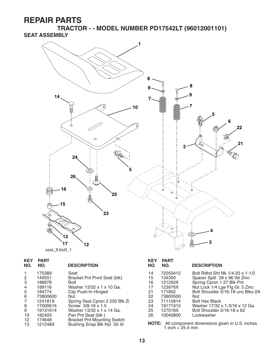**TRACTOR - - MODEL NUMBER PD17542LT (96012001101) SEAT ASSEMBLY**



| <b>KEY</b><br>NO. | <b>PART</b><br>NO. | <b>DESCRIPTION</b>                 |
|-------------------|--------------------|------------------------------------|
| 1                 | 175389             | Seat                               |
| 2                 | 140551             | Bracket Pnt Pivot Seat (blk)       |
| 3                 | 188978             | Bolt                               |
| 4                 | 189116             | Washer 13/32 x 1 x 10 Ga.          |
| 5                 | 184774             | Clip Push-In Hinged                |
| 6                 | 73800600           | Nut                                |
| 7                 | 124181X            | Spring Seat Cprsn 2 250 Blk Zi     |
| 8                 | 17000616           | Screw 3/8-16 x 1.5                 |
| 9                 | 19131614           | Washer 13/32 x 1 x 14 Ga.          |
| 10                | 182493             | Pan Pnt Seat (blk)                 |
| 12                | 174648             | <b>Bracket Pnt Mounting Switch</b> |
| 13                | 121248X            | Bushing Snap Blk Nyl 50 ld         |
|                   |                    |                                    |

| <b>KEY</b><br>NO.                                        | <b>PART</b><br>NO.                                                                                            | <b>DESCRIPTION</b>                                                                                                                                                                                                                                                                  |
|----------------------------------------------------------|---------------------------------------------------------------------------------------------------------------|-------------------------------------------------------------------------------------------------------------------------------------------------------------------------------------------------------------------------------------------------------------------------------------|
| 14<br>15<br>16<br>17<br>21<br>22<br>23<br>24<br>25<br>26 | 72050412<br>134300<br>121250X<br>123976X<br>171852<br>73800500<br>71110814<br>19171912<br>127018X<br>10040800 | Bolt Rdhd Sht Nk 1/4-20 x 1-1/2<br>Spacer Split 28 x 96 Yel Zinc<br>Spring Cprsn 1 27 Blk Pnt<br>Nut Lock 1/4 Lge Flg Gr. 5 Zinc<br>Bolt Shoulder 5/16-18 unc Blkz-2A<br>Nut<br><b>Bolt Hex Black</b><br>Washer 17/32 x 1-3/16 x 12 Ga.<br>Bolt Shoulder 5/16-18 x 62<br>Lockwasher |
| NOTE·                                                    |                                                                                                               | All component dimensions given in LLS inches                                                                                                                                                                                                                                        |

13 121248X Bushing Snap Blk Nyl 50 Id **NOTE:** All component dimensions given in U.S. inches 1 inch = 25.4 mm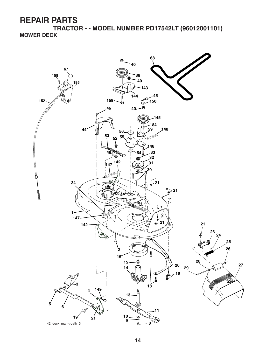**TRACTOR - - MODEL NUMBER PD17542LT (96012001101) MOWER DECK**

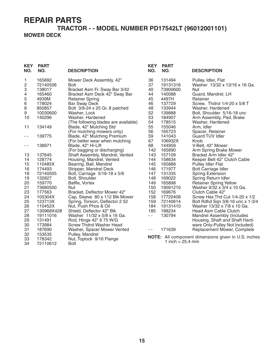#### **TRACTOR - - MODEL NUMBER PD17542LT (96012001101) MOWER DECK**

| <b>KEY</b><br>NO. | <b>PART</b><br>NO. | <b>DESCRIPTION</b>                             | <b>KEY</b><br>NO. | <b>PART</b><br>NO. | <b>DESCRIPTION</b>                                         |
|-------------------|--------------------|------------------------------------------------|-------------------|--------------------|------------------------------------------------------------|
| 1                 | 165892             | Mower Deck Assembly, 42"                       | 36                | 131494             | Pulley, Idler, Flat                                        |
| 2                 | 72140506           | <b>Bolt</b>                                    | 37                | 19131316           | Washer 13/32 x 13/16 x 16 Ga.                              |
| 3                 | 138017             | Bracket Asm Fr. Sway Bar 3/42                  | 40                | 73900600           | Nut                                                        |
| 4<br>5            | 165460             | Bracket Asm Deck 42" Sway Bar                  | 44                | 140088<br>4497H    | Guard, Mandrel, LH<br>Retainer                             |
| 6                 | 4939M<br>178024    | <b>Retainer Spring</b><br><b>Bar Sway Deck</b> | 45<br>46          | 137729             | Screw, Thdrol 1/4-20 x 5/8 T                               |
| 8                 | 850857             | Bolt 3/8-24 x 25 Gr. 8 patched                 | 48                | 133944             | Washer, Hardened                                           |
| 9                 | 10030600           | Washer, Lock                                   | 52                | 139888             | Bolt, Shoulder 5/16-18 unc                                 |
| 10                | 140296             | Washer, Hardened                               | 53                | 184907             | Arm Assembly, Pad, Brake                                   |
|                   |                    | (The following blades are available)           | 54                | 178515             | Washer, Hardened                                           |
| 11                | 134149             | Blade, 42" Mulching Std                        | 55                | 155046             | Arm, Idler                                                 |
|                   |                    | (For mulching mowers only)                     | 56                | 165723             | Spacer, Retainer                                           |
| $\sim$ $\sim$     | 139775             | Blade, 42" Mulching Premium                    | 59                | 141043             | <b>Guard TUV Idler</b>                                     |
|                   |                    | (For better wear when mulching                 | 67                | 106932X            | Knob                                                       |
| $\sim$ $\sim$     | 138971             | Blade, 42" Hi-Lift                             | 68                | 144959             | V-Belt, 42" Mower                                          |
|                   |                    | (For bagging or discharging)                   | 142               | 165890             | Arm Spring Brake Mower                                     |
| 13                | 137645             | Shaft Assembly, Mandrel, Vented                | 143               | 157109             | Bracket Arm Idler 42"                                      |
| 14                | 128774             | Housing, Mandrel, Vented                       | 144               | 158634             | Keeper Belt 42" Clutch Cable                               |
| 15                | 110485X            | Bearing, Ball, Mandrel                         | 145               | 165888             | <b>Pulley Idler Flat</b>                                   |
| 16                | 174493             | Stripper, Mandrel Deck                         | 146               | 171977             | Bolt Carriage Idler                                        |
| 18                | 72140505           | Bolt, Carriage 5/16-18 x 5/8                   | 147               | 131335             | <b>Spring Extension</b>                                    |
| 19                | 132827             | Bolt, Shoulder                                 | 148               | 169022             | Spring Return Idler                                        |
| 20                | 159770             | Baffle, Vortex                                 | 149               | 165898             | <b>Retainer Spring Yellow</b>                              |
| 21                | 73680500           | Nut                                            | 150               | 19091210           | Washer 9/32 x 3/4 x 10 Ga.                                 |
| 23                | 177563             | Bracket, Deflector Mower 42"                   | 152               | 169676             | Clutch Cable 42"                                           |
| 24                | 105304X            | Cap, Sleeve 80 x 112 Blk Mower                 | 158               | 17720408           | Screw Hex Thd Cut 1/4-20 x 1/2                             |
| 25                | 123713X            | Spring, Torsion, Deflector 2 52                | 159               | 72140614           | Bolt Rdhd Sqn 3/8-16 unc x 1-3/4                           |
| 26                | 110452X            | Nut, Push Phos & Oil                           | 184               | 19131410           | Washer 13/32 x 7/8 x 10 Ga.                                |
| 27                | 130968X428         | Shield, Deflector 42" Blk                      | 185               | 188234             | Head Asm Cable Clutch                                      |
| 28                | 19111016           | Washer 11/32 x 5/8 x 16 Ga.                    | $\sim$ $\sim$     | 130794             | Mandrel Assembly (Includes                                 |
| 29                | 131491             | Rod, Hinge 42" 6 75 W/G                        |                   |                    | Housing, Shaft and Shaft Hard-                             |
| 30                | 173984             | <b>Screw Thdrol Washer Head</b>                |                   |                    | ware Only-Pulley Not Included)                             |
| 31                | 187690             | Washer, Spacer Mower Vented                    | $ -$              | 171639             | Replacement Mower, Complete                                |
| 32                | 153535             | Pulley, Mandrel                                |                   |                    | <b>NOTE:</b> All component dimensions given in U.S. inches |
| 33                | 178342             | Nut, Toplock 9/16 Flange                       |                   | 1 inch = $25.4$ mm |                                                            |
| 34                | 72110612           | <b>Bolt</b>                                    |                   |                    |                                                            |